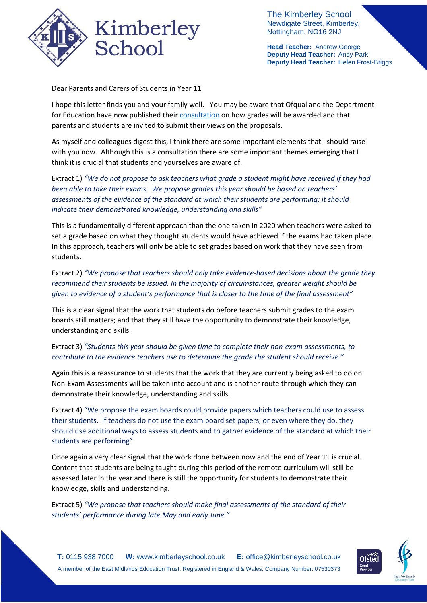

The Kimberley School Newdigate Street, Kimberley, Nottingham. NG16 2NJ

**Head Teacher:** Andrew George **Deputy Head Teacher:** Andy Park **Deputy Head Teacher:** Helen Frost-Briggs

Dear Parents and Carers of Students in Year 11

I hope this letter finds you and your family well. You may be aware that Ofqual and the Department for Education have now published thei[r consultation](https://assets.publishing.service.gov.uk/government/uploads/system/uploads/attachment_data/file/953000/6743-1_GCSE__AS_and_A_level_grades_should_be_awarded_in_summer_2021.pdf) on how grades will be awarded and that parents and students are invited to submit their views on the proposals.

As myself and colleagues digest this, I think there are some important elements that I should raise with you now. Although this is a consultation there are some important themes emerging that I think it is crucial that students and yourselves are aware of.

Extract 1) *"We do not propose to ask teachers what grade a student might have received if they had been able to take their exams. We propose grades this year should be based on teachers' assessments of the evidence of the standard at which their students are performing; it should indicate their demonstrated knowledge, understanding and skills"*

This is a fundamentally different approach than the one taken in 2020 when teachers were asked to set a grade based on what they thought students would have achieved if the exams had taken place. In this approach, teachers will only be able to set grades based on work that they have seen from students.

Extract 2) *"We propose that teachers should only take evidence-based decisions about the grade they recommend their students be issued. In the majority of circumstances, greater weight should be given to evidence of a student's performance that is closer to the time of the final assessment"*

This is a clear signal that the work that students do before teachers submit grades to the exam boards still matters; and that they still have the opportunity to demonstrate their knowledge, understanding and skills.

Extract 3) *"Students this year should be given time to complete their non-exam assessments, to contribute to the evidence teachers use to determine the grade the student should receive."*

Again this is a reassurance to students that the work that they are currently being asked to do on Non-Exam Assessments will be taken into account and is another route through which they can demonstrate their knowledge, understanding and skills.

Extract 4) "We propose the exam boards could provide papers which teachers could use to assess their students. If teachers do not use the exam board set papers, or even where they do, they should use additional ways to assess students and to gather evidence of the standard at which their students are performing"

Once again a very clear signal that the work done between now and the end of Year 11 is crucial. Content that students are being taught during this period of the remote curriculum will still be assessed later in the year and there is still the opportunity for students to demonstrate their knowledge, skills and understanding.

Extract 5) *"We propose that teachers should make final assessments of the standard of their students' performance during late May and early June."*

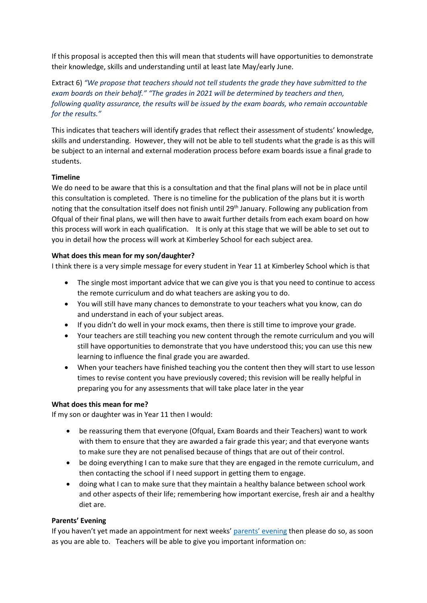If this proposal is accepted then this will mean that students will have opportunities to demonstrate their knowledge, skills and understanding until at least late May/early June.

Extract 6) *"We propose that teachers should not tell students the grade they have submitted to the exam boards on their behalf." "The grades in 2021 will be determined by teachers and then, following quality assurance, the results will be issued by the exam boards, who remain accountable for the results."*

This indicates that teachers will identify grades that reflect their assessment of students' knowledge, skills and understanding. However, they will not be able to tell students what the grade is as this will be subject to an internal and external moderation process before exam boards issue a final grade to students.

## **Timeline**

We do need to be aware that this is a consultation and that the final plans will not be in place until this consultation is completed. There is no timeline for the publication of the plans but it is worth noting that the consultation itself does not finish until 29<sup>th</sup> January. Following any publication from Ofqual of their final plans, we will then have to await further details from each exam board on how this process will work in each qualification. It is only at this stage that we will be able to set out to you in detail how the process will work at Kimberley School for each subject area.

## **What does this mean for my son/daughter?**

I think there is a very simple message for every student in Year 11 at Kimberley School which is that

- The single most important advice that we can give you is that you need to continue to access the remote curriculum and do what teachers are asking you to do.
- You will still have many chances to demonstrate to your teachers what you know, can do and understand in each of your subject areas.
- If you didn't do well in your mock exams, then there is still time to improve your grade.
- Your teachers are still teaching you new content through the remote curriculum and you will still have opportunities to demonstrate that you have understood this; you can use this new learning to influence the final grade you are awarded.
- When your teachers have finished teaching you the content then they will start to use lesson times to revise content you have previously covered; this revision will be really helpful in preparing you for any assessments that will take place later in the year

### **What does this mean for me?**

If my son or daughter was in Year 11 then I would:

- be reassuring them that everyone (Ofqual, Exam Boards and their Teachers) want to work with them to ensure that they are awarded a fair grade this year; and that everyone wants to make sure they are not penalised because of things that are out of their control.
- be doing everything I can to make sure that they are engaged in the remote curriculum, and then contacting the school if I need support in getting them to engage.
- doing what I can to make sure that they maintain a healthy balance between school work and other aspects of their life; remembering how important exercise, fresh air and a healthy diet are.

# **Parents' Evening**

If you haven't yet made an appointment for next weeks[' parents' evening](https://676e78de-15d9-46b7-9fcd-a49f46e58722.filesusr.com/ugd/b201da_fe33e2ed8c35440f848283330b7186d4.pdf) then please do so, as soon as you are able to. Teachers will be able to give you important information on: